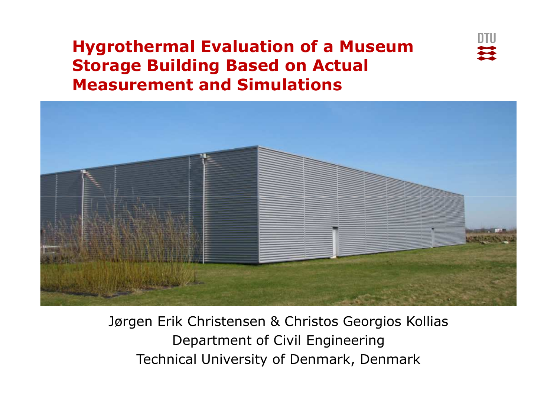### **Hygrothermal Evaluation of a Museum Storage Building Based on Actual Measurement and Simulations**





Technical University of Denmark, Denmark Jørgen Erik Christensen & Christos Georgios KolliasDepartment of Civil Engineering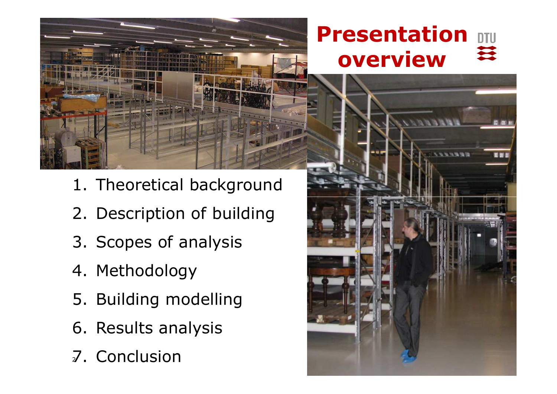

- 1. Theoretical background
- 2. Description of building
- 3. Scopes of analysis
- 4. Methodology
- 5. Building modelling
- 6. Results analysis
- **CUILLUSIUII** 7. Conclusion

### **Presentation** 至 **overview**

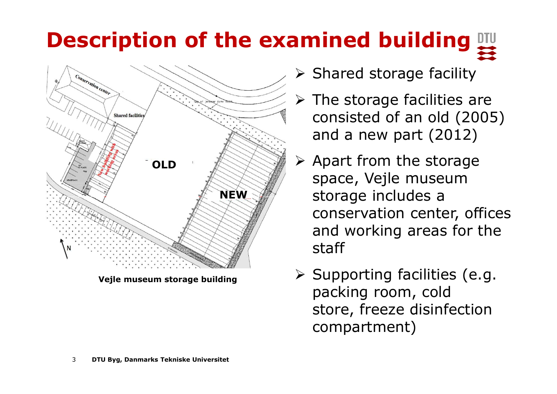# **Description of the examined building**



**Vejle museum storage building**

- $\triangleright$  Shared storage facility
- The storage facilities are<br>Sepainted of an ald (2005 consisted of an old (2005) and a new part (2012)
- $\blacktriangleright$  Apart from the storage space, Vejle museum storage includes a conservation center, offices and working areas for the staff
- Supporting facilities (e.g.<br>Backing room cold packing room, cold store, freeze disinfection compartment)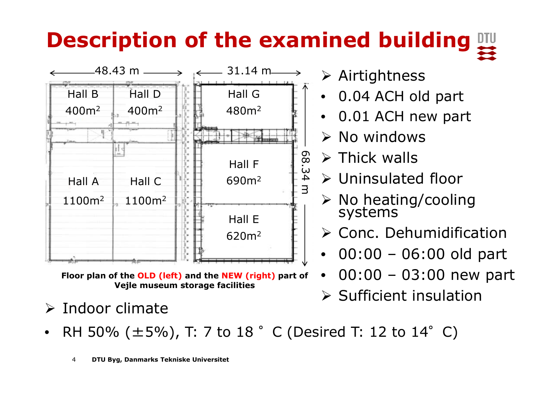# **Description of the examined building**



**Floor plan of the OLD (left) and the NEW (right) part of Vejle museum storage facilities**

**≻** Indoor climate

- Airtightness
- •0.04 ACH old part
- •0.01 ACH new part
- $\triangleright$  No windows
- > Thick walls
- Uninsulated floor
- > No heating/cooling<br>systems systems
- > Conc. Dehumidification
- •00:00 – 06:00 old part
- $\bullet$ 00:00 – 03:00 new part
- $\triangleright$  Sufficient insulation
- •• RH 50%  $(\pm 5\%)$ , T: 7 to 18  $^{\circ}$  C (Desired T: 12 to 14 $^{\circ}$  C)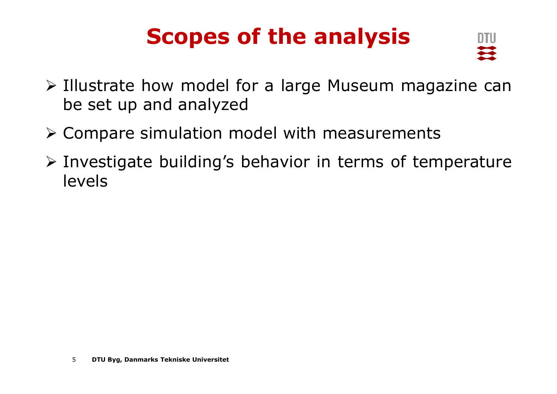## **Scopes of the analysis**



- $\triangleright$  Illustrate how model for a large Museum magazine can<br>he set un and analyzed be set up and analyzed
- Compare simulation model with measurements
- Investigate building's behavior in terms of temperature<br>Jevels levels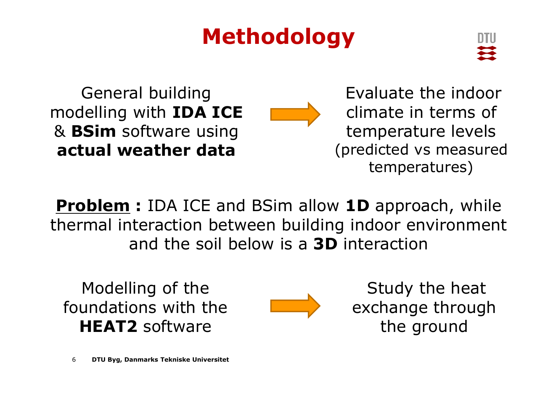## **Methodology**



General building modelling with **IDA ICE** & **BSim** software using **actual weather data**

Evaluate the indoor climate in terms of temperature levels (predicted vs measured temperatures)

**Problem :** IDA ICE and BSim allow **1D** approach, while thermal interaction between building indoor environment and the soil below is a **3D** interaction

Modelling of the foundations with the **HEAT2** software



Study the heat exchange through the ground

6**DTU Byg, Danmarks Tekniske Universitet**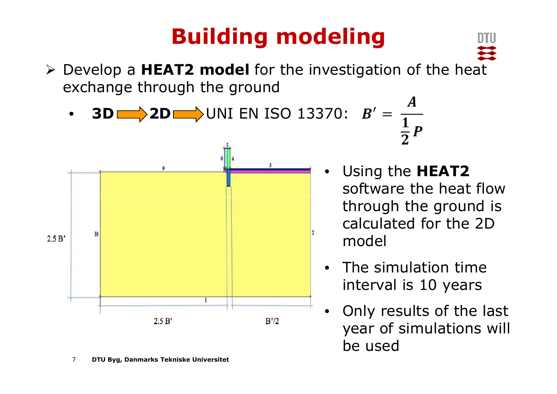Develop a **HEAT2 model** for the investigation of the heat exchange through the ground





7**DTU Byg, Danmarks Tekniske Universitet** • Using the **HEAT2**  software the heat flow through the ground is calculated for the 2D model

- • The simulation time interval is 10 years
- • Only results of the last year of simulations will be used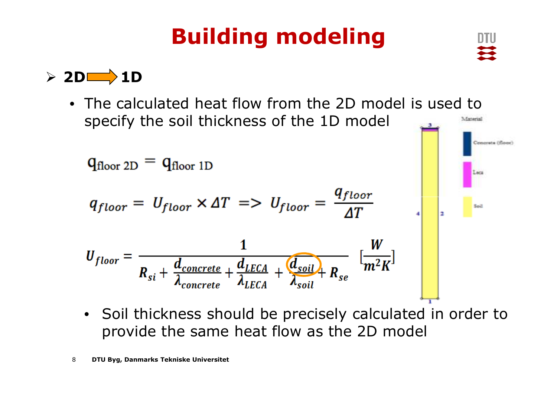



• The calculated heat flow from the 2D model is used to specify the soil thickness of the 1D model 1. Enterini



• Soil thickness should be precisely calculated in order to provide the same heat flow as the 2D model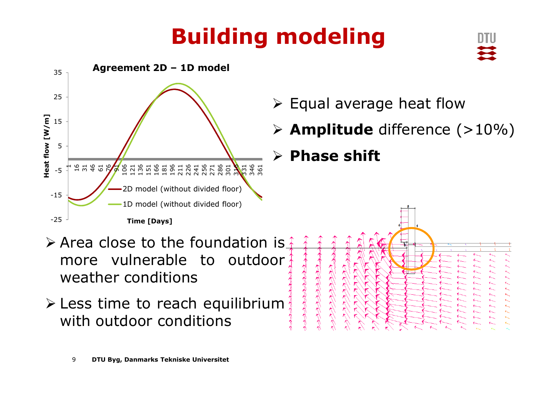

### $\triangleright$  Equal average heat flow

**Amplitude** difference (>10%)

## **Phase shift**

- Area close to the foundation is<br>more vulnerable to outdoor more vulnerable to outdoor weather conditions
- **Example 10 Feach equilibrium**<br>Antions conditions with outdoor conditions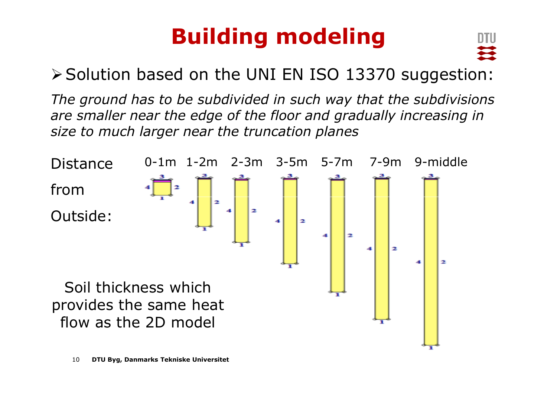

▶ Solution based on the UNI EN ISO 13370 suggestion:

*The ground has to be subdivided in such way that the subdivisions are smaller near the edge of the floor and gradually increasing in size to much larger near the truncation planes*

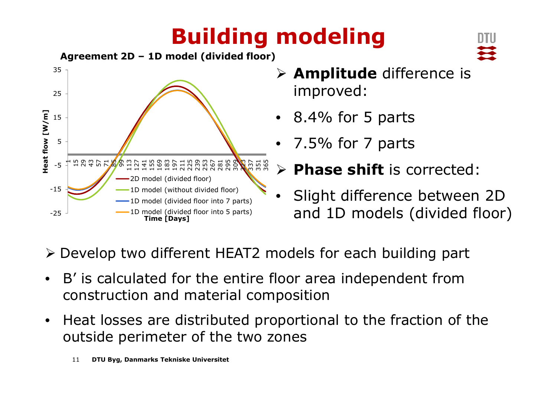

- **Amplitude** difference is improved:
- 8.4% for 5 parts
- •7.5% for 7 parts

#### $\blacktriangleright$ **Phase shift** is corrected:

- • Slight difference between 2D and 1D models (divided floor)
- Develop two different HEAT2 models for each building part
- • B' is calculated for the entire floor area independent from construction and material composition
- $\bullet$  Heat losses are distributed proportional to the fraction of the outside perimeter of the two zones
	- 11**DTU Byg, Danmarks Tekniske Universitet**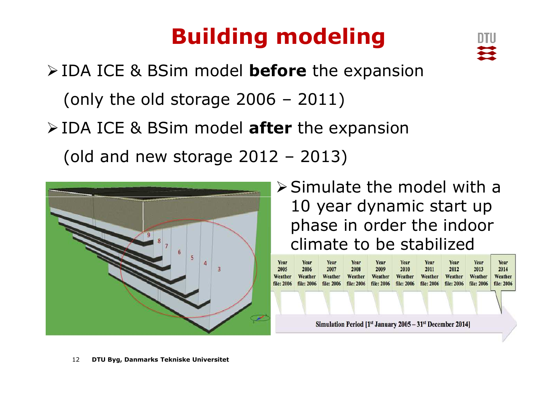IDA ICE & BSim model **before** the expansion (only the old storage 2006 – 2011) IDA ICE & BSim model **after** the expansion(old and new storage 2012 – 2013)



### $\triangleright$  Simulate the model with a 10 year dynamic start up phase in order the indoor climate to be stabilized



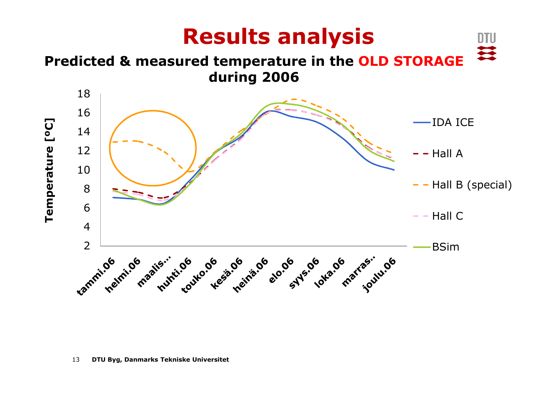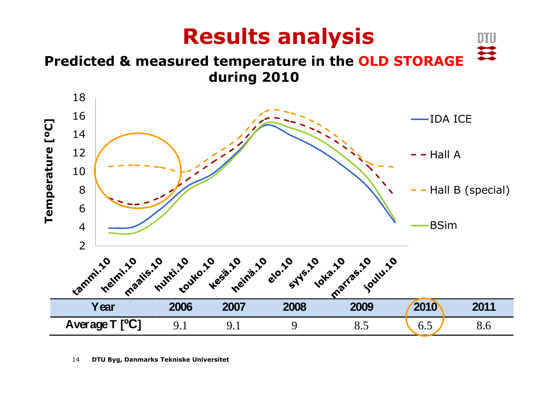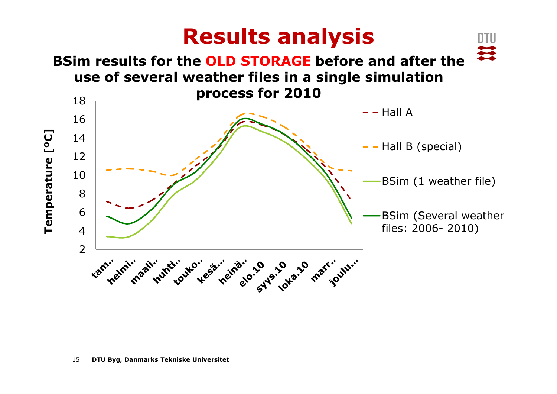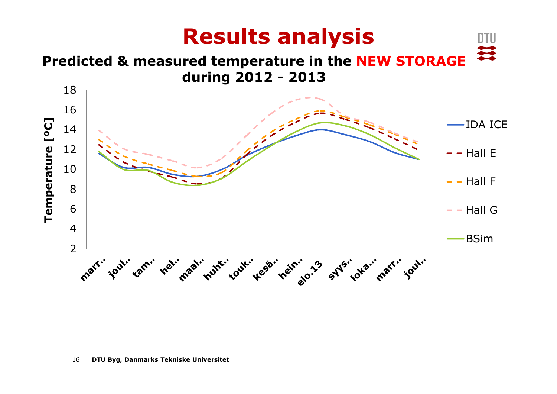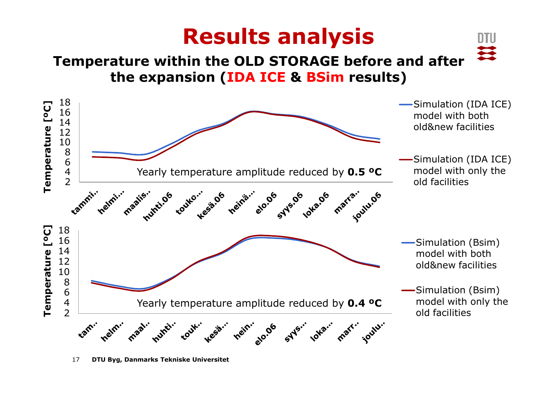### **Results analysis**

DTU

≋

### **Temperature within the OLD STORAGE before and afterthe expansion (IDA ICE & BSim results)**

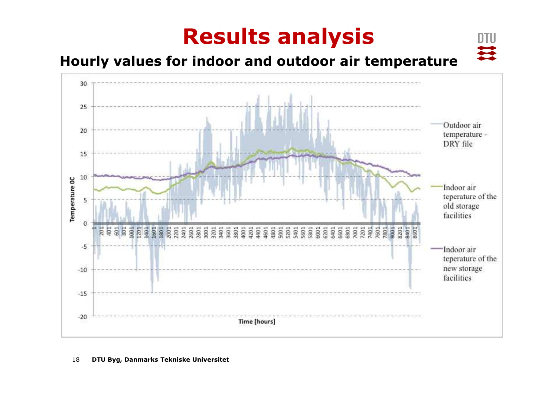### **Results analysis**

DTU

至

### **Hourly values for indoor and outdoor air temperature**

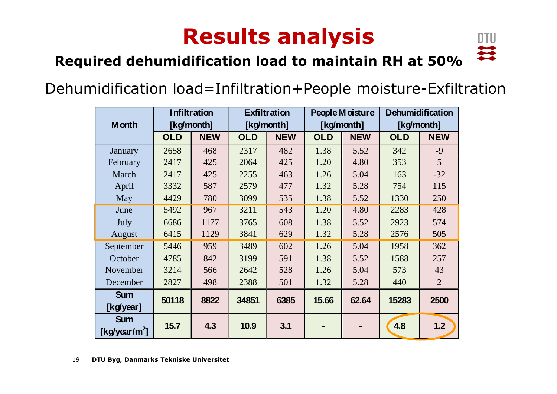## **Results analysis**



### **Required dehumidification load to maintain RH at 50%**

### Dehumidification load=Infiltration+People moisture-Exfiltration

|                                         | <b>Infiltration</b> |            | <b>Exfiltration</b> |            | People Moisture |            | <b>Dehumidification</b> |                |
|-----------------------------------------|---------------------|------------|---------------------|------------|-----------------|------------|-------------------------|----------------|
| <b>M</b> onth                           | [kg/month]          |            | [kg/month]          |            | [kg/month]      |            | [kg/month]              |                |
|                                         | <b>OLD</b>          | <b>NEW</b> | <b>OLD</b>          | <b>NEW</b> | <b>OLD</b>      | <b>NEW</b> | <b>OLD</b>              | <b>NEW</b>     |
| January                                 | 2658                | 468        | 2317                | 482        | 1.38            | 5.52       | 342                     | $-9$           |
| February                                | 2417                | 425        | 2064                | 425        | 1.20            | 4.80       | 353                     | 5              |
| March                                   | 2417                | 425        | 2255                | 463        | 1.26            | 5.04       | 163                     | $-32$          |
| April                                   | 3332                | 587        | 2579                | 477        | 1.32            | 5.28       | 754                     | 115            |
| May                                     | 4429                | 780        | 3099                | 535        | 1.38            | 5.52       | 1330                    | 250            |
| June                                    | 5492                | 967        | 3211                | 543        | 1.20            | 4.80       | 2283                    | 428            |
| July                                    | 6686                | 1177       | 3765                | 608        | 1.38            | 5.52       | 2923                    | 574            |
| August                                  | 6415                | 1129       | 3841                | 629        | 1.32            | 5.28       | 2576                    | 505            |
| September                               | 5446                | 959        | 3489                | 602        | 1.26            | 5.04       | 1958                    | 362            |
| October                                 | 4785                | 842        | 3199                | 591        | 1.38            | 5.52       | 1588                    | 257            |
| November                                | 3214                | 566        | 2642                | 528        | 1.26            | 5.04       | 573                     | 43             |
| December                                | 2827                | 498        | 2388                | 501        | 1.32            | 5.28       | 440                     | $\overline{2}$ |
| <b>Sum</b>                              | 50118               | 8822       | 34851               | 6385       | 15.66           | 62.64      | 15283                   | 2500           |
| [kg/year]                               |                     |            |                     |            |                 |            |                         |                |
| <b>Sum</b><br>[kg/year/m <sup>2</sup> ] | 15.7                | 4.3        | 10.9                | 3.1        |                 |            | 4.8                     | 1.2            |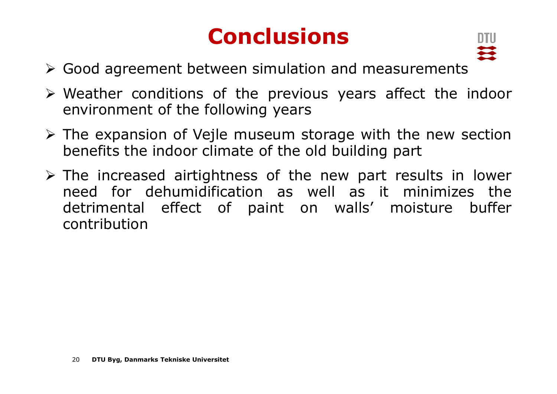## **Conclusions**



- > Good agreement between simulation and measurements
- $\triangleright$  Weather conditions of the previous years affect the indoor<br>environment of the following years environment of the following years
- $\triangleright$  The expansion of Vejle museum storage with the new section<br>henefits the indoor climate of the old building part benefits the indoor climate of the old building part
- $\triangleright$  The increased airtightness of the new part results in lower<br>need for dehumidification as well as it minimizes the need for dehumidification as well as it minimizes the detrimental effect of paint on walls' moisture buffer contribution